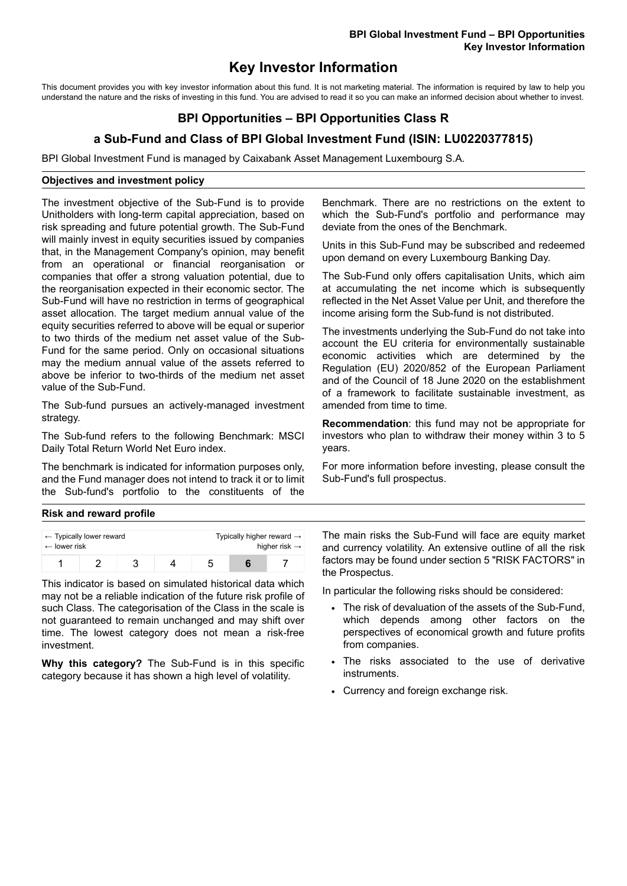# **Key Investor Information**

This document provides you with key investor information about this fund. It is not marketing material. The information is required by law to help you understand the nature and the risks of investing in this fund. You are advised to read it so you can make an informed decision about whether to invest.

## **BPI Opportunities – BPI Opportunities Class R**

### **a Sub-Fund and Class of BPI Global Investment Fund (ISIN: LU0220377815)**

BPI Global Investment Fund is managed by Caixabank Asset Management Luxembourg S.A.

#### **Objectives and investment policy**

The investment objective of the Sub-Fund is to provide Unitholders with long-term capital appreciation, based on risk spreading and future potential growth. The Sub-Fund will mainly invest in equity securities issued by companies that, in the Management Company's opinion, may benefit from an operational or financial reorganisation or companies that offer a strong valuation potential, due to the reorganisation expected in their economic sector. The Sub-Fund will have no restriction in terms of geographical asset allocation. The target medium annual value of the equity securities referred to above will be equal or superior to two thirds of the medium net asset value of the Sub-Fund for the same period. Only on occasional situations may the medium annual value of the assets referred to above be inferior to two-thirds of the medium net asset value of the Sub-Fund.

The Sub-fund pursues an actively-managed investment strategy.

The Sub-fund refers to the following Benchmark: MSCI Daily Total Return World Net Euro index.

The benchmark is indicated for information purposes only, and the Fund manager does not intend to track it or to limit the Sub-fund's portfolio to the constituents of the Benchmark. There are no restrictions on the extent to which the Sub-Fund's portfolio and performance may deviate from the ones of the Benchmark.

Units in this Sub-Fund may be subscribed and redeemed upon demand on every Luxembourg Banking Day.

The Sub-Fund only offers capitalisation Units, which aim at accumulating the net income which is subsequently reflected in the Net Asset Value per Unit, and therefore the income arising form the Sub-fund is not distributed.

The investments underlying the Sub-Fund do not take into account the EU criteria for environmentally sustainable economic activities which are determined by the Regulation (EU) 2020/852 of the European Parliament and of the Council of 18 June 2020 on the establishment of a framework to facilitate sustainable investment, as amended from time to time.

**Recommendation**: this fund may not be appropriate for investors who plan to withdraw their money within 3 to 5 years.

For more information before investing, please consult the Sub-Fund's full prospectus.

#### **Risk and reward profile**

| $\leftarrow$ lower risk | $\leftarrow$ Typically lower reward |  | Typically higher reward $\rightarrow$<br>higher risk $\rightarrow$ |  |  |
|-------------------------|-------------------------------------|--|--------------------------------------------------------------------|--|--|
|                         |                                     |  |                                                                    |  |  |

This indicator is based on simulated historical data which may not be a reliable indication of the future risk profile of such Class. The categorisation of the Class in the scale is not guaranteed to remain unchanged and may shift over time. The lowest category does not mean a risk-free investment.

**Why this category?** The Sub-Fund is in this specific category because it has shown a high level of volatility.

The main risks the Sub-Fund will face are equity market and currency volatility. An extensive outline of all the risk factors may be found under section 5 "RISK FACTORS" in the Prospectus.

In particular the following risks should be considered:

- The risk of devaluation of the assets of the Sub-Fund, which depends among other factors on the perspectives of economical growth and future profits from companies.
- The risks associated to the use of derivative instruments.
- Currency and foreign exchange risk.